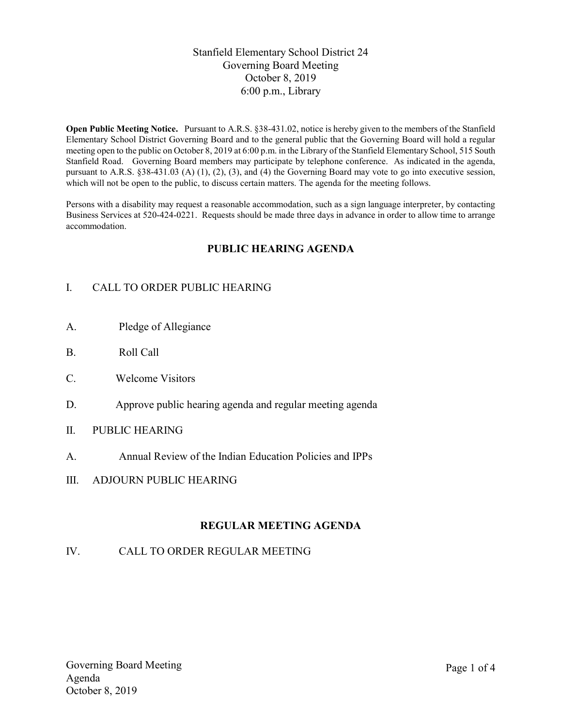### Stanfield Elementary School District 24 Governing Board Meeting October 8, 2019 6:00 p.m., Library

Open Public Meeting Notice. Pursuant to A.R.S. §38-431.02, notice is hereby given to the members of the Stanfield Elementary School District Governing Board and to the general public that the Governing Board will hold a regular meeting open to the public on October 8, 2019 at 6:00 p.m. in the Library of the Stanfield Elementary School, 515 South Stanfield Road. Governing Board members may participate by telephone conference. As indicated in the agenda, pursuant to A.R.S. §38-431.03 (A) (1), (2), (3), and (4) the Governing Board may vote to go into executive session, which will not be open to the public, to discuss certain matters. The agenda for the meeting follows.

Persons with a disability may request a reasonable accommodation, such as a sign language interpreter, by contacting Business Services at 520-424-0221. Requests should be made three days in advance in order to allow time to arrange accommodation.

### PUBLIC HEARING AGENDA

# I. CALL TO ORDER PUBLIC HEARING

- A. Pledge of Allegiance
- B. Roll Call
- C. Welcome Visitors
- D. Approve public hearing agenda and regular meeting agenda
- II. PUBLIC HEARING
- A. Annual Review of the Indian Education Policies and IPPs
- III. ADJOURN PUBLIC HEARING

### REGULAR MEETING AGENDA

#### IV. CALL TO ORDER REGULAR MEETING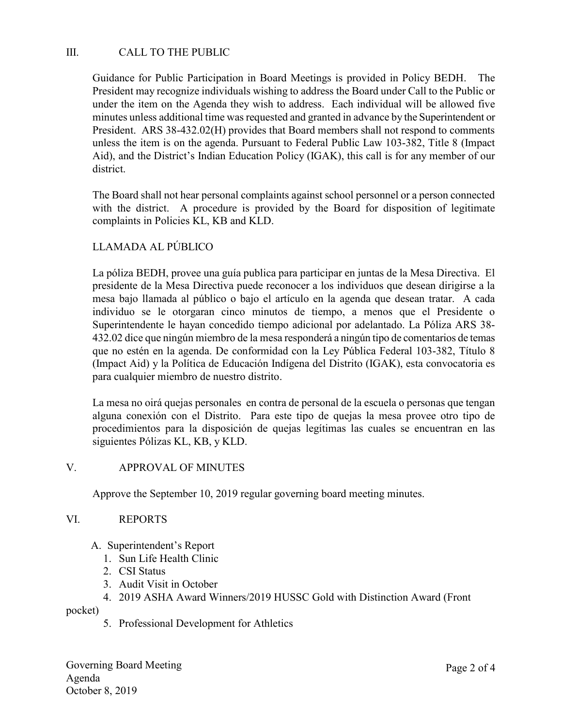## III. CALL TO THE PUBLIC

Guidance for Public Participation in Board Meetings is provided in Policy BEDH. The President may recognize individuals wishing to address the Board under Call to the Public or under the item on the Agenda they wish to address. Each individual will be allowed five minutes unless additional time was requested and granted in advance by the Superintendent or President. ARS 38-432.02(H) provides that Board members shall not respond to comments unless the item is on the agenda. Pursuant to Federal Public Law 103-382, Title 8 (Impact Aid), and the District's Indian Education Policy (IGAK), this call is for any member of our district.

The Board shall not hear personal complaints against school personnel or a person connected with the district. A procedure is provided by the Board for disposition of legitimate complaints in Policies KL, KB and KLD.

### LLAMADA AL PÚBLICO

La póliza BEDH, provee una guía publica para participar en juntas de la Mesa Directiva. El presidente de la Mesa Directiva puede reconocer a los individuos que desean dirigirse a la mesa bajo llamada al público o bajo el artículo en la agenda que desean tratar. A cada individuo se le otorgaran cinco minutos de tiempo, a menos que el Presidente o Superintendente le hayan concedido tiempo adicional por adelantado. La Póliza ARS 38- 432.02 dice que ningún miembro de la mesa responderá a ningún tipo de comentarios de temas que no estén en la agenda. De conformidad con la Ley Pública Federal 103-382, Título 8 (Impact Aid) y la Política de Educación Indígena del Distrito (IGAK), esta convocatoria es para cualquier miembro de nuestro distrito.

La mesa no oirá quejas personales en contra de personal de la escuela o personas que tengan alguna conexión con el Distrito. Para este tipo de quejas la mesa provee otro tipo de procedimientos para la disposición de quejas legítimas las cuales se encuentran en las siguientes Pólizas KL, KB, y KLD.

#### V. APPROVAL OF MINUTES

Approve the September 10, 2019 regular governing board meeting minutes.

### VI. REPORTS

- A. Superintendent's Report
	- 1. Sun Life Health Clinic
	- 2. CSI Status
	- 3. Audit Visit in October
	- 4. 2019 ASHA Award Winners/2019 HUSSC Gold with Distinction Award (Front

pocket)

5. Professional Development for Athletics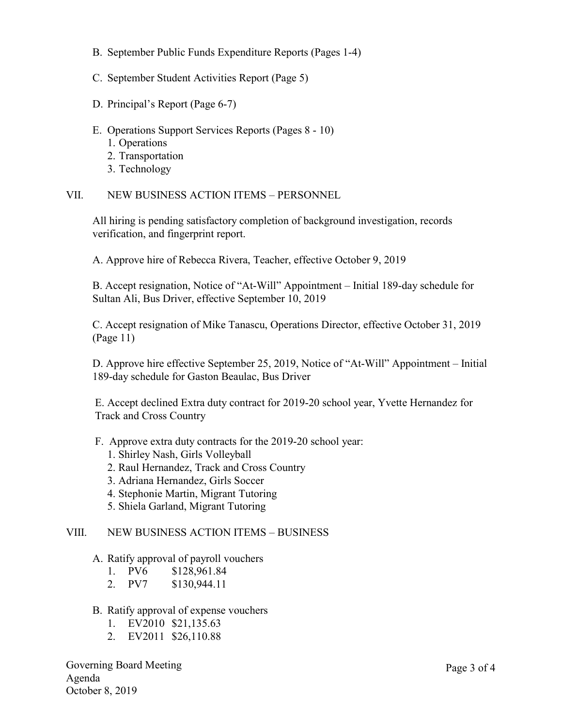- B. September Public Funds Expenditure Reports (Pages 1-4)
- C. September Student Activities Report (Page 5)
- D. Principal's Report (Page 6-7)
- E. Operations Support Services Reports (Pages 8 10)
	- 1. Operations
	- 2. Transportation
	- 3. Technology

#### VII. NEW BUSINESS ACTION ITEMS – PERSONNEL

All hiring is pending satisfactory completion of background investigation, records verification, and fingerprint report.

A. Approve hire of Rebecca Rivera, Teacher, effective October 9, 2019

B. Accept resignation, Notice of "At-Will" Appointment – Initial 189-day schedule for Sultan Ali, Bus Driver, effective September 10, 2019

C. Accept resignation of Mike Tanascu, Operations Director, effective October 31, 2019 (Page 11)

D. Approve hire effective September 25, 2019, Notice of "At-Will" Appointment – Initial 189-day schedule for Gaston Beaulac, Bus Driver

E. Accept declined Extra duty contract for 2019-20 school year, Yvette Hernandez for Track and Cross Country

- F. Approve extra duty contracts for the 2019-20 school year:
	- 1. Shirley Nash, Girls Volleyball
	- 2. Raul Hernandez, Track and Cross Country
	- 3. Adriana Hernandez, Girls Soccer
	- 4. Stephonie Martin, Migrant Tutoring
	- 5. Shiela Garland, Migrant Tutoring

#### VIII. NEW BUSINESS ACTION ITEMS – BUSINESS

#### A. Ratify approval of payroll vouchers

- 1. PV6 \$128,961.84
- 2. PV7 \$130,944.11
- B. Ratify approval of expense vouchers
	- 1. EV2010 \$21,135.63
	- 2. EV2011 \$26,110.88

Governing Board Meeting Agenda October 8, 2019